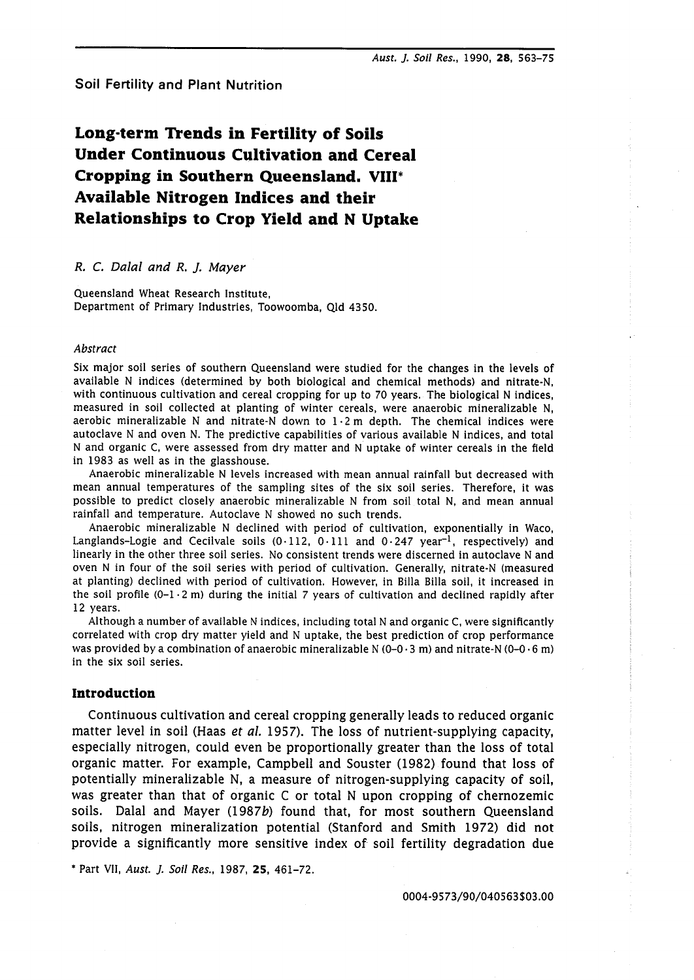Soil Fertility and Plant Nutrition

# **Long-term mends in Fertility of Soils Under Continuous Cultivation and Cereal Cropping in Southern Queensland. VIII\* Available Nitrogen Indices and their Relationships to Crop Yield and N Uptake**

# *R. C. Dalal and R. J. Mayer*

Queensland Wheat Research Institute, Department of Primary Industries, Toowoomba, Qld 4350.

## *Abstract*

Six major soil series of southern Queensland were studied for the changes in the levels of available N indices (determined by both biological and chemical methods) and nitrate-N, with continuous cultivation and cereal cropping for up to 70 years. The biological N indices, measured in soil collected at planting of winter cereals, were anaerobic mineralizable N, aerobic mineralizable N and nitrate-N down to  $1 \cdot 2$  m depth. The chemical indices were autoclave N and oven N. The predictive capabilities of various available N indices, and total N and organic C, were assessed from dry matter and N uptake of winter cereals in the field in 1983 as well as in the glasshouse.

Anaerobic mineralizable N levels increased with mean annual rainfall but decreased with mean annual temperatures of the sampling sites of the six soil series. Therefore, it was possible to predict closely anaerobic mineralizable N from soil total N, and mean annual rainfall and temperature. Autoclave N showed no such trends.

Anaerobic mineralizable N declined with period of cultivation, exponentially in Waco, Langlands-Logie and Cecilvale soils  $(0.112, 0.111$  and  $0.247$  year<sup>-1</sup>, respectively) and linearly in the other three soil series. No consistent trends were discerned in autoclave N and oven N in four of the soil series with period of cultivation. Generally, nitrate-N (measured at planting) declined with period of cultivation. However, in Billa Billa soil, it increased in the soil profile  $(0-1\cdot 2$  m) during the initial 7 years of cultivation and declined rapidly after 12 years.

Although a number of available N indices, including total N and organic C, were significantly correlated with crop dry matter yield and N uptake, the best prediction of crop performance was provided by a combination of anaerobic mineralizable N  $(0-0.3 \text{ m})$  and nitrate-N  $(0-0.6 \text{ m})$ in the six soil series.

# **Introduction**

Continuous cultivation and cereal cropping generally leads to reduced organic matter level in soil (Haas *et al.* 1957). The loss of nutrient-supplying capacity, especially nitrogen, could even be proportionally greater than the loss of total organic matter. For example, Campbell and Souster (1982) found that loss of potentially mineralizable N, a measure of nitrogen-supplying capacity of soil, was greater than that of organic C or total N upon cropping of chernozemic soils. Dalal and Mayer (1987b) found that, for most southern Queensland soils, nitrogen mineralization potential (Stanford and Smith 1972) did not provide a significantly more sensitive index of soil fertility degradation due

\* Part VII, **Aust.** *J.* **Soil Res.,** 1987, **25,** 461-72.

0004-9573/90/040563\$03.00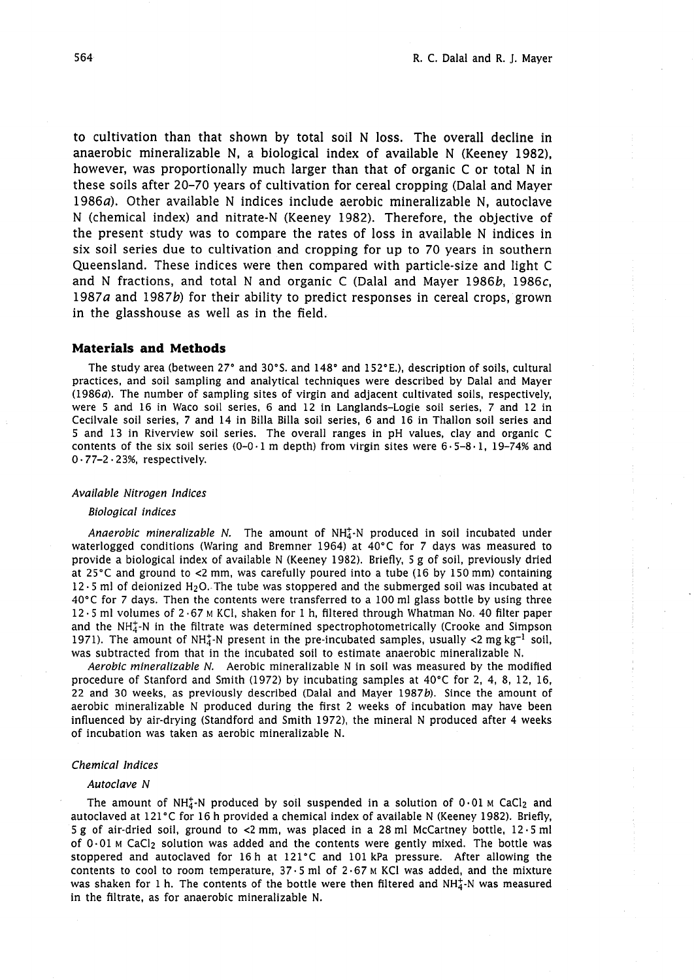to cultivation than that shown by total soil N loss. The overall decline in anaerobic mineralizable N, a biological index of available N (Keeney 1982), however, was proportionally much larger than that of organic C or total N in these soils after 20-70 years of cultivation for cereal cropping (Dalal and Mayer 1986 $a$ ). Other available N indices include aerobic mineralizable N, autoclave N (chemical index) and nitrate-N (Keeney 1982). Therefore, the objective of the present study was to compare the rates of loss in available N indices in six soil series due to cultivation and cropping for up to 70 years in southern Queensland. These indices were then compared with particle-size and light C and N fractions, and total N and organic C (Dalal and Mayer 1986b, 1986c, 1987a and 1987b) for their ability to predict responses in cereal crops, grown in the glasshouse as well as in the field.

## **Materials and Methods**

The study area (between 27° and 30°S. and 148° and 152°E.), description of soils, cultural practices, and soil sampling and analytical techniques were described by Dalal and Mayer (1986a). The number of sampling sites of virgin and adjacent cultivated soils, respectively, were 5 and 16 in Waco soil series, 6 and 12 in Langlands-Logie soil series, 7 and 12 in Cecilvale soil series, 7 and 14 in Billa Billa soil series, 6 and 16 in Thallon soil series and 5 and 13 in Riverview soil series. The overall ranges in pH values, clay and organic C contents of the six soil series  $(0-0.1 \text{ m depth})$  from virgin sites were  $6.5-8.1$ , 19-74% and 0.77-2.23%, respectively.

## Available Nitrogen Indices

#### Biological indices

Anaerobic mineralizable N. The amount of  $NH_4^+$ -N produced in soil incubated under waterlogged conditions (Waring and Bremner 1964) at 40'C for 7 days was measured to provide a biological index of available N (Keeney 1982). Briefly, 5 g of soil, previously dried at  $25^{\circ}$ C and ground to <2 mm, was carefully poured into a tube (16 by 150 mm) containing 12.5 ml of deionized **H2O.** The tube was stoppered and the submerged soil was incubated at 40°C for 7 days. Then the contents were transferred to a 100 ml glass bottle by using three 12.5 ml volumes of 2.67 M KCI, shaken for 1 h, filtered through Whatman No. 40 filter paper and the  $NH<sub>4</sub><sup>+</sup>N$  in the filtrate was determined spectrophotometrically (Crooke and Simpson 1971). The amount of NH<sub>4</sub>-N present in the pre-incubated samples, usually  $\langle 2 \text{ mg kg}^{-1} \text{ soil} \rangle$ , was subtracted from that in the incubated soil to estimate anaerobic mineralizable N.

Aerobic mineralizable N. Aerobic mineralizable N in soil was measured by the modified procedure of Stanford and Smith (1972) by incubating samples at 40°C for 2, 4, 8, 12, 16, 22 and 30 weeks, as previously described (Dalal and Mayer 1987b). Since the amount of aerobic mineralizable N produced during the first 2 weeks of incubation may have been influenced by air-drying (Standford and Smith 1972), the mineral N produced after **4** weeks of incubation was taken as aerobic mineralizable N.

### Chemical Indices

#### Autoclave N

The amount of NH<sub>4</sub>-N produced by soil suspended in a solution of  $0.01$  M CaCl<sub>2</sub> and autoclaved at 121°C for 16 h provided a chemical index of available N (Keeney 1982). Briefly, 5 g of air-dried soil, ground to <2 mm, was placed in a 28 ml McCartney bottle, 12.5 ml of  $0.01$  M CaCl<sub>2</sub> solution was added and the contents were gently mixed. The bottle was stoppered and autoclaved for 16 h at 121°C and 101 kPa pressure. After allowing the contents to cool to room temperature,  $37.5$  ml of  $2.67$  M KCl was added, and the mixture was shaken for 1 h. The contents of the bottle were then filtered and  $NH_4^+$ -N was measured in the filtrate, as for anaerobic mineralizable N.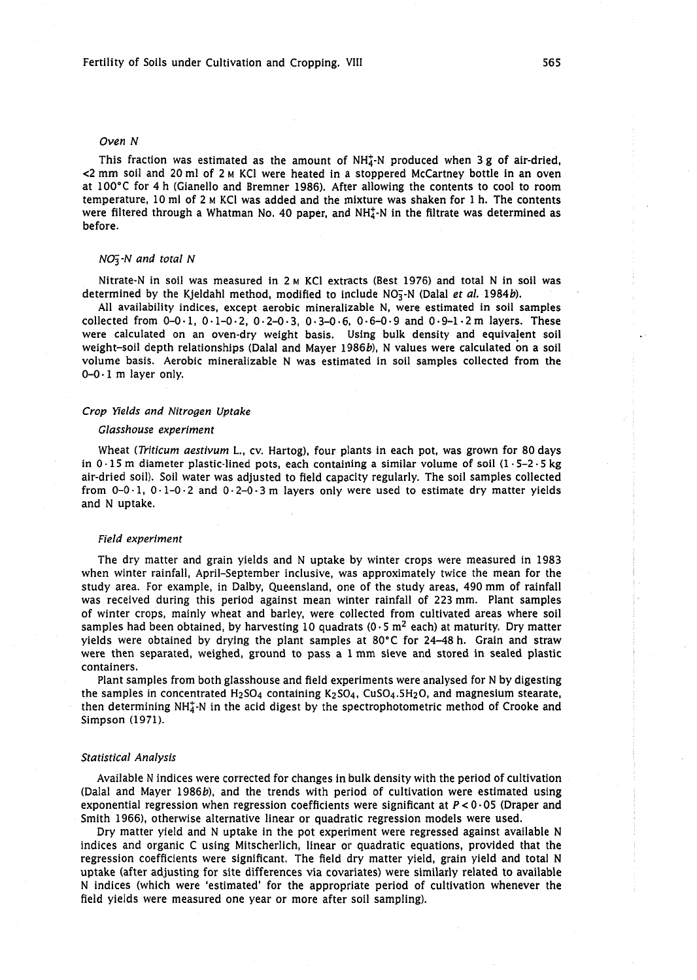#### *Oven N*

This fraction was estimated as the amount of  $NH<sub>4</sub><sup>+</sup>-N$  produced when 3 g of air-dried,  $\leq$ 2 mm soil and 20 ml of 2  $\mu$  KCl were heated in a stoppered McCartney bottle in an oven at 100'C for 4 h (Gianello and Bremner 1986). After allowing the contents to cool to room temperature, 10 ml of 2 M KC1 was added and the mixture was shaken for 1 h. The contents were filtered through a Whatman No. 40 paper, and  $NH<sub>4</sub><sup>+</sup>-N$  in the filtrate was determined as before.

## *NOS-N and total N*

Nitrate-N in soil was measured in 2 M KC1 extracts (Best 1976) and total N in soil was determined by the Kjeldahl method, modified to include NO;-N (Dalal *et al.* 1984b).

All availability indices, except aerobic mineralizable N, were estimated in soil samples collected from 0-0.1, 0.1-0.2, 0.2-0.3, 0.3-0.6, 0.6-0.9 and 0.9-1.2 m layers. These were calculated on an oven-dry weight basis. Using bulk density and equivalent soil weight-soil depth relationships (Dalal and Mayer 1986b), N values were calculated on a soil volume basis. Aerobic mineralizable N was estimated in soil samples collected from the  $0-0.1$  m layer only.

#### *Crop Yields and Nitrogen Uptake*

#### *Glasshouse experiment*

Wheat *(Triticum aestivum* L., cv. Hartog), four plants in each pot, was grown for 80 days in  $0.15$  m diameter plastic-lined pots, each containing a similar volume of soil  $(1.5-2.5 \text{ kg})$ air-dried soil). Soil water was adjusted to field capacity regularly. The soil samples collected from  $0-0.1$ ,  $0.1-0.2$  and  $0.2-0.3$  m layers only were used to estimate dry matter yields and N uptake.

#### *Field experiment*

The dry matter and grain yields and N uptake by winter crops were measured in 1983 when winter rainfall, April-September inclusive, was approximately twice the mean for the study area. For example, in Dalby, Queensland, one of the study areas, 490 mm of rainfall was received during this period against mean winter rainfall of 223 mm. Plant samples of winter crops, mainly wheat and barley, were collected from cultivated areas where soil samples had been obtained, by harvesting 10 quadrats (0 $\cdot$  5 m<sup>2</sup> each) at maturity. Dry matter yields were obtained by drying the plant samples at 80'C for 24-48 h. Grain and straw were then separated, weighed, ground to pass a 1 mm sieve and stored in sealed plastic containers.

Plant samples from both glasshouse and field experiments were analysed for N by digesting the samples in concentrated  $H_2$ SO<sub>4</sub> containing K<sub>2</sub>SO<sub>4</sub>, CuSO<sub>4</sub>.5H<sub>2</sub>O, and magnesium stearate, then determining  $NH_4^+$ -N in the acid digest by the spectrophotometric method of Crooke and Simpson (1971).

#### *Statistical Analysis*

Available N indices were corrected for changes in bulk density with the period of cultivation (Dalal and Mayer 1986b), and the trends with period of cultivation were estimated using exponential regression when regression coefficients were significant at *P<* 0.05 (Draper and Smith 1966), otherwise alternative linear or quadratic regression models were used.

Dry matter yield and N uptake in the pot experiment were regressed against available N indices and organic C using Mitscherlich, linear or quadratic equations, provided that the regression coefficients were significant. The field dry matter yield, grain yield and total N uptake (after adjusting for site differences via covariates) were similarly related to available N indices (which were 'estimated' for the appropriate period of cultivation whenever the field yields were measured one year or more after soil sampling).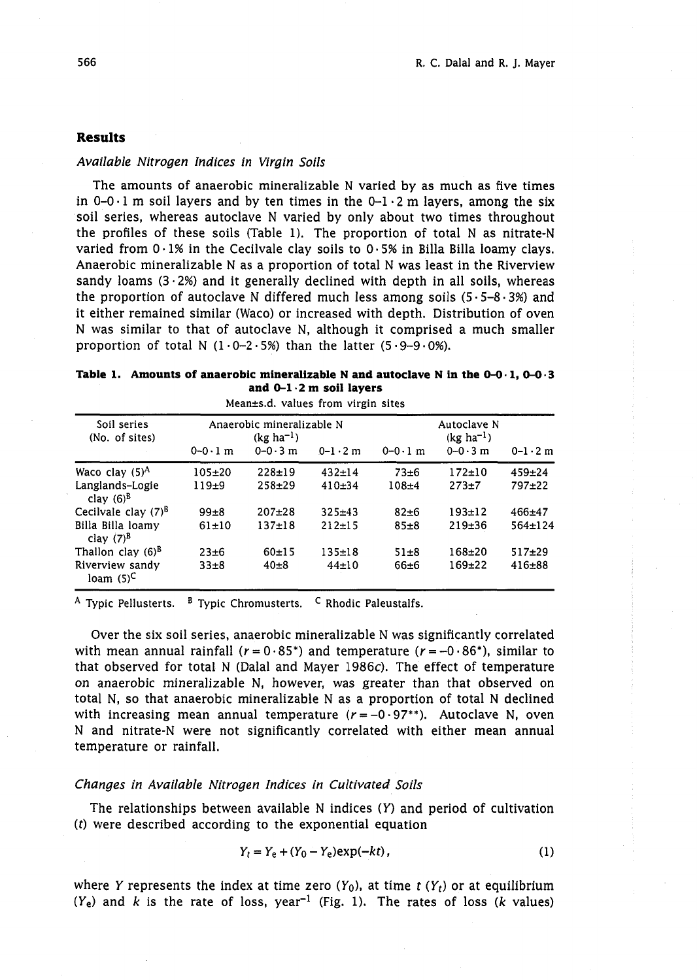# **Results**

## Available Nitrogen Indices in Virgin Soils

The amounts of anaerobic mineralizable N varied by as much as five times in  $0-0.1$  m soil layers and by ten times in the  $0-1.2$  m layers, among the six soil series, whereas autoclave N varied by only about two times throughout the profiles of these soils (Table 1). The proportion of total N as nitrate-N varied from  $0.1\%$  in the Cecilvale clay soils to  $0.5\%$  in Billa Billa loamy clays. Anaerobic mineralizable N as a proportion of total N was least in the Riverview sandy loams  $(3.2%)$  and it generally declined with depth in all soils, whereas the proportion of autoclave N differed much less among soils  $(5.5-8.3%)$  and it either remained similar (Waco) or increased with depth. Distribution of oven N was similar to that of autoclave N, although it comprised a much smaller proportion of total N  $(1 \cdot 0 - 2 \cdot 5)$  than the latter  $(5 \cdot 9 - 9 \cdot 0)$ .

| Table 1. Amounts of anaerobic mineralizable N and autoclave N in the $0-0.1$ , $0-0.3$ |
|----------------------------------------------------------------------------------------|
| and $0-1 \cdot 2$ m soil layers                                                        |
| Afaso (s.d. colores forma ribeia star                                                  |

| mean±s.u. values from virgin sites |                                                                                                               |            |              |           |                                              |                   |  |
|------------------------------------|---------------------------------------------------------------------------------------------------------------|------------|--------------|-----------|----------------------------------------------|-------------------|--|
| Soil series<br>(No. of sites)      | Anaerobic mineralizable N<br>$(kg ha^{-1})$<br>$0 - 0.3$ m<br>$0 - 0.1$ m<br>$0 - 0.1$ m<br>$0 - 1 \cdot 2$ m |            |              |           | Autoclave N<br>$(kg ha^{-1})$<br>$0 - 0.3$ m | $0 - 1 \cdot 2$ m |  |
| Waco clay $(5)^A$                  | $105 + 20$                                                                                                    | $228 + 19$ | $432 \pm 14$ | $73 + 6$  | $172 \pm 10$                                 | $459 + 24$        |  |
| Langlands-Logie<br>clay $(6)^8$    | $119+9$                                                                                                       | $258 + 29$ | 410±34       | $108 + 4$ | $273 + 7$                                    | 797±22            |  |
| Cecilvale clay $(7)^8$             | $99 + 8$                                                                                                      | $207+28$   | $325 + 43$   | $82 + 6$  | $193 + 12$                                   | $466 + 47$        |  |
| Billa Billa loamy<br>clay $(7)^B$  | 61±10                                                                                                         | $137+18$   | 212±15       | $85\pm8$  | 219±36                                       | $564 \pm 124$     |  |
| Thallon clay $(6)^B$               | $23 + 6$                                                                                                      | 60±15      | $135 + 18$   | $51 + 8$  | $168 + 20$                                   | $517+29$          |  |
| Riverview sandy<br>loam $(5)^C$    | $33\pm8$                                                                                                      | $40\pm8$   | $44 \pm 10$  | $66 + 6$  | $169 + 22$                                   | $416 + 88$        |  |

<sup>A</sup> Typic Pellusterts. <sup>B</sup> Typic Chromusterts. <sup>C</sup> Rhodic Paleustalfs.

Over the six soil series, anaerobic mineralizable N was significantly correlated with mean annual rainfall ( $r = 0.85^*$ ) and temperature ( $r = -0.86^*$ ), similar to that observed for total N (Dalal and Mayer 1986c). The effect of temperature on anaerobic mineralizable N, however, was greater than that observed on total N, so that anaerobic mineralizable N as a proportion of total N declined with increasing mean annual temperature  $(r = -0.97^{*})$ . Autoclave N, oven N and nitrate-N were not significantly correlated with either mean annual temperature or rainfall.

## Changes in Available Nitrogen Indices in Cultivated Soils

The relationships between available N indices (Y) and period of cultivation (t) were described according to the exponential equation

$$
Y_t = Y_e + (Y_0 - Y_e) \exp(-kt),
$$
 (1)

where Y represents the index at time zero  $(Y_0)$ , at time  $t(Y_t)$  or at equilibrium  $(Y_e)$  and  $k$  is the rate of loss, year<sup>-1</sup> (Fig. 1). The rates of loss  $(k$  values)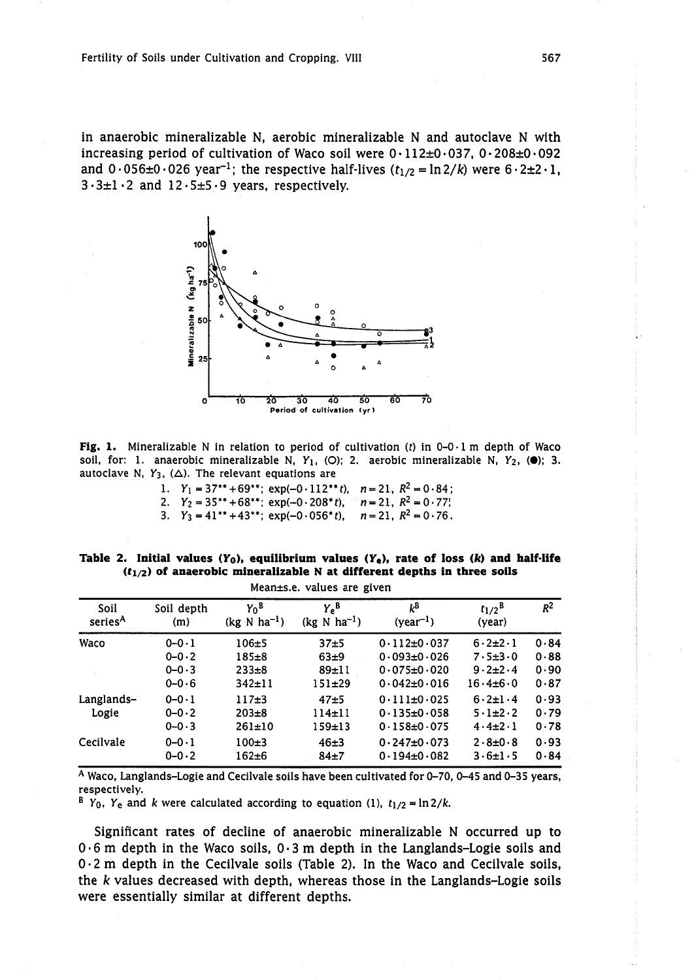in anaerobic mineralizable N, aerobic mineralizable N and autoclave N with increasing period of cultivation of Waco soil were  $0.112\pm0.037$ ,  $0.208\pm0.092$ and  $0.056\pm0.026$  year<sup>-1</sup>; the respective half-lives ( $t_{1/2}$  = ln 2/k) were  $6.2\pm2.1$ ,  $3.3±1.2$  and  $12.5±5.9$  years, respectively.



**Fig. 1.** Mineralizable **N** in relation to period of cultivation (t) in 0-0.1 m depth of Waco soil, for: 1. anaerobic mineralizable N,  $Y_1$ , (O); 2. aerobic mineralizable N,  $Y_2$ , ( $\bullet$ ); 3. autoclave N,  $Y_3$ ,  $(\Delta)$ . The relevant equations are

1.  $Y_1 = 37^{**} + 69^{**}$ ;  $\exp(-0.112^{**}t)$ ,  $n = 21$ ,  $R^2 = 0.84$ ; 2.  $Y_2 = 35^{**} + 68^{**}$ ;  $\exp(-0.208^*t)$ ,  $n = 21$ ,  $R^2 = 0.77$ ; 3.  $Y_3 = 41^{**} + 43^{**}$ ;  $\exp(-0.056^{*}t)$ ,  $n = 21$ ,  $R^2 = 0.76$ .

|                          |  |  |  |  | Table 2. Initial values $(Y_0)$ , equilibrium values $(Y_0)$ , rate of loss $(k)$ and half-life |  |  |  |  |  |  |
|--------------------------|--|--|--|--|-------------------------------------------------------------------------------------------------|--|--|--|--|--|--|
|                          |  |  |  |  | $(t_{1/2})$ of anaerobic mineralizable N at different depths in three soils                     |  |  |  |  |  |  |
| Monnece volues are given |  |  |  |  |                                                                                                 |  |  |  |  |  |  |

| Soil                | Soil depth  | $Y_0^B$                          | $Y_e^B$                          | kΒ                | $t_{1/2}$ <sup>B</sup> | $R^2$ |
|---------------------|-------------|----------------------------------|----------------------------------|-------------------|------------------------|-------|
| series <sup>A</sup> | (m)         | $(kg \text{ N} \text{ ha}^{-1})$ | $(kg \text{ N} \text{ ha}^{-1})$ | $(year^{-1})$     | (year)                 |       |
| Waco                | $0 - 0 - 1$ | $106 + 5$                        | 37 <sub>±5</sub>                 | $0.112 \pm 0.037$ | $6.2 + 2.1$            | 0.84  |
|                     | $0 - 0.2$   | $185 + 8$                        | $63 + 9$                         | $0.093 + 0.026$   | $7.5 \pm 3.0$          | 0.88  |
|                     | $0 - 0.3$   | $233 \pm 8$                      | $89-11$                          | $0.075 \pm 0.020$ | $9.2 + 2.4$            | 0.90  |
| Langlands-          | $0 - 0.6$   | $342 \pm 11$                     | $151 + 29$                       | $0.042 \pm 0.016$ | $16.4 \pm 6.0$         | 0.87  |
|                     | $0 - 0 - 1$ | $117 + 3$                        | $47 - 5$                         | $0.111 \pm 0.025$ | $6.2 \pm 1.4$          | 0.93  |
| Logie               | $0 - 0.2$   | $203 \pm 8$                      | $114 + 11$                       | $0.135 \pm 0.058$ | $5.1\pm2.2$            | 0.79  |
|                     | $0 - 0.3$   | 261±10                           | 159±13                           | $0.158 + 0.075$   | $4.4\pm2.1$            | 0.78  |
| Cecilvale           | $0 - 0 - 1$ | $100+3$                          | $46+3$                           | $0.247 \pm 0.073$ | $2.8 + 0.8$            | 0.93  |
|                     | $0 - 0.2$   | $162 + 6$                        | $84+7$                           | $0.194 \pm 0.082$ | $3.6 \pm 1.5$          | 0.84  |

A Waco, Langlands-Logie and Cecilvale soils have been cultivated for 0-70, 0-45 and 0-35 years, respectively.

<sup>B</sup> Y<sub>0</sub>, Y<sub>e</sub> and *k* were calculated according to equation (1),  $t_{1/2} = \ln 2/k$ .

Significant rates of decline of anaerobic mineralizable N occurred up to  $0.6$  m depth in the Waco soils,  $0.3$  m depth in the Langlands-Logie soils and 0.2 m depth in the Cecilvale soils (Table 2). In the Waco and Cecilvale soils, the k values decreased with depth, whereas those in the Langlands-Logie soils were essentially similar at different depths.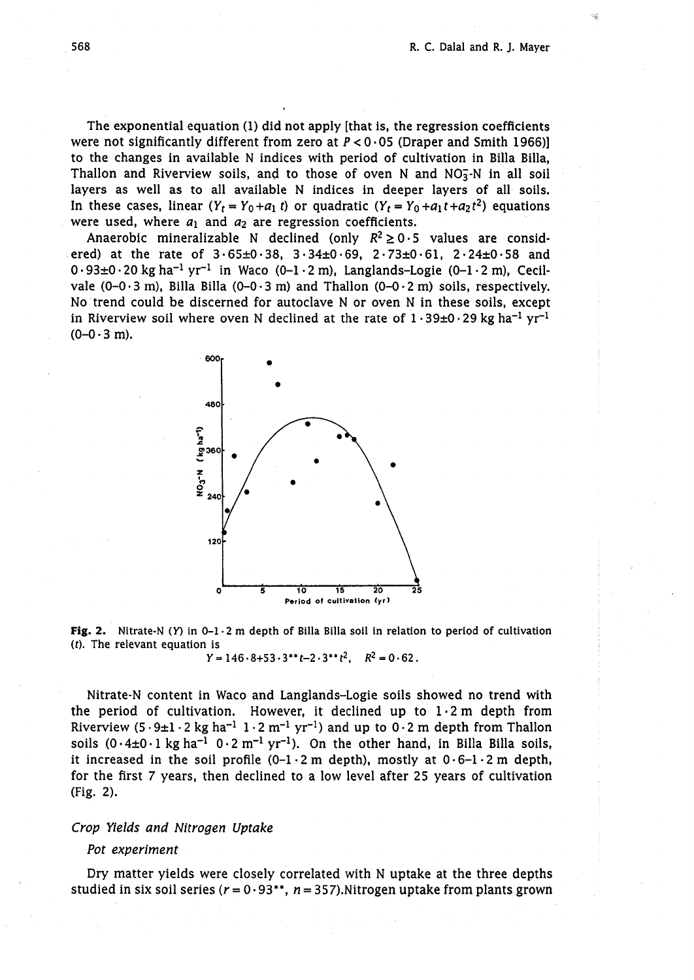The exponential equation (1) did not apply [that is, the regression coefficients were not significantly different from zero at  $P < 0.05$  (Draper and Smith 1966)] to the changes in available N indices with period of cultivation in Billa Billa, Thallon and Riverview soils, and to those of oven N and  $NO<sub>3</sub>$ -N in all soil layers as well as to all available N indices in deeper layers of all soils. In these cases, linear  $(Y_t = Y_0 + a_1 t)$  or quadratic  $(Y_t = Y_0 + a_1 t + a_2 t^2)$  equations were used, where  $a_1$  and  $a_2$  are regression coefficients.

Anaerobic mineralizable N declined (only  $R^2 \ge 0.5$  values are considered) at the rate of  $3.65\pm0.38$ ,  $3.34\pm0.69$ ,  $2.73\pm0.61$ ,  $2.24\pm0.58$  and  $0.93\pm0.20$  kg ha<sup>-1</sup> yr<sup>-1</sup> in Waco (0-1.2 m), Langlands-Logie (0-1.2 m), Cecilvale  $(0-0.3 \text{ m})$ , Billa Billa  $(0-0.3 \text{ m})$  and Thallon  $(0-0.2 \text{ m})$  soils, respectively. No trend could be discerned for autoclave N or oven N in these soils, except in Riverview soil where oven N declined at the rate of  $1 \cdot 39 \pm 0 \cdot 29$  kg ha<sup>-1</sup> yr<sup>-1</sup>  $(0-0.3 \text{ m})$ .



**Fig. 2.** Nitrate-N (Y) in 0-1  $\cdot$  2 m depth of Billa Billa soil in relation to period of cultivation **(t). The relevant equation is** 

 $Y = 146.8 + 53.3**t-2.3**t^2$ ,  $R^2 = 0.62$ .

Nitrate-N content in Waco and Langlands-Logie soils showed no trend with the period of cultivation. However, it declined up to  $1.2$  m depth from Riverview (5  $\cdot$  9 $\pm$ 1  $\cdot$  2 kg ha<sup>-1</sup> 1  $\cdot$  2 m<sup>-1</sup> yr<sup>-1</sup>) and up to 0  $\cdot$  2 m depth from Thallon soils  $(0.4\pm0.1 \text{ kg ha}^{-1}$   $0.2 \text{ m}^{-1} \text{ yr}^{-1})$ . On the other hand, in Billa Billa soils, it increased in the soil profile  $(0-1\cdot 2 \text{ m } \text{depth})$ , mostly at  $0\cdot 6-1\cdot 2 \text{ m } \text{depth}$ , for the first 7 years, then declined to a low level after 25 years of cultivation (Fig. 2).

# Crop Yields and Nitrogen Uptake

## Pot experiment

Dry matter yields were closely correlated with N uptake at the three depths studied in six soil series ( $r = 0.93**$ ,  $n = 357$ ). Nitrogen uptake from plants grown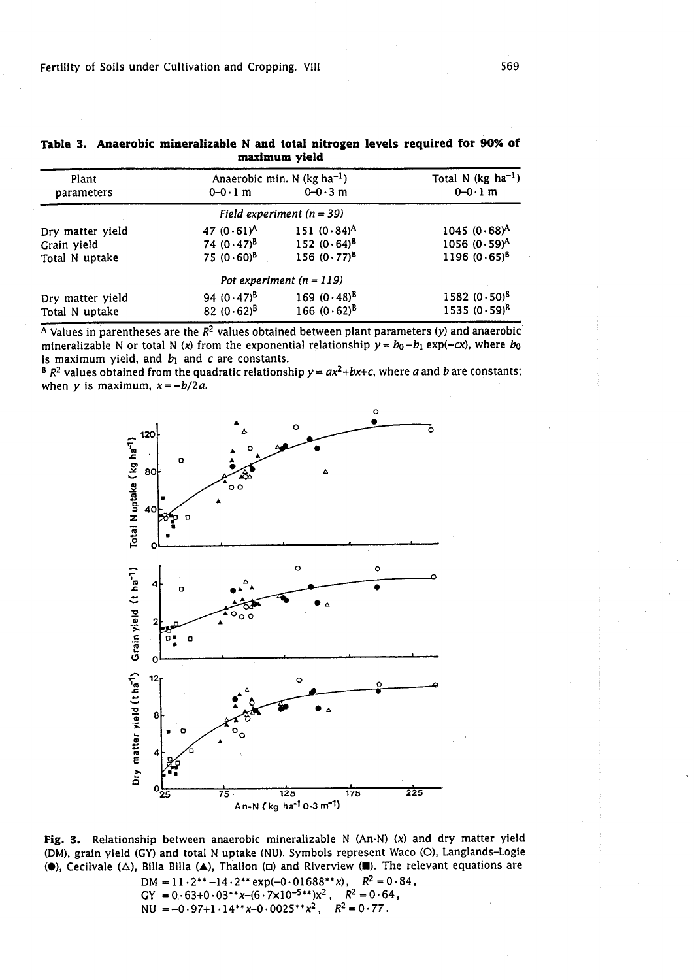| Plant<br>parameters | $0 - 0.1$ m   | Anaerobic min. $N$ (kg ha <sup>-1</sup> )<br>$0 - 0.3$ m | Total N (kg $ha^{-1}$ )<br>$0-0.1$ m |
|---------------------|---------------|----------------------------------------------------------|--------------------------------------|
|                     |               | Field experiment $(n = 39)$                              |                                      |
| Dry matter yield    | 47 $(0.61)^A$ | 151 $(0.84)^A$                                           | $1045 (0.68)^A$                      |
| Grain yield         | 74 $(0.47)^8$ | 152 $(0.64)^8$                                           | $1056 (0.59)^A$                      |
| Total N uptake      | $75(0.60)^8$  | 156 $(0.77)^{B}$                                         | $1196 (0.65)^8$                      |
|                     |               | Pot experiment $(n = 119)$                               |                                      |
| Dry matter yield    | 94 $(0.47)^8$ | 169 $(0.48)^{B}$                                         | 1582 $(0.50)^8$                      |
| Total N uptake      | 82 $(0.62)^8$ | 166 $(0.62)^{B}$                                         | 1535 $(0.59)^8$                      |

**Table 3. Anaerobic mineralizable N and total nitrogen levels required for 90% of maximum yield** 

 $\overline{A}$  Values in parentheses are the  $R^2$  values obtained between plant parameters (y) and anaerobic mineralizable N or total N (x) from the exponential relationship  $y = b_0 - b_1 \exp(-cx)$ , where  $b_0$ is maximum yield, and  $b_1$  and c are constants.

 $B_R^2$  values obtained from the quadratic relationship  $y = ax^2 + bx + c$ , where *a* and *b* are constants; when  $y$  is maximum,  $x = -b/2a$ .



**Fig. 3.** Relationsnip between anaerobic mineralizable **N** (An-N) **(x)** and dry matter yield (DM), grain yield **(GY)** and total **N** uptake **(NU).** Symbols represent Wac0 (01, Langlands-Logic **(0)'** Cecilvale (A), Billa Billa (A), Thallon **(a)** and Riverview **(U).** The relevant equations are

 $DM = 11 \cdot 2^{**} - 14 \cdot 2^{**}$  exp(-0.01688\*\*x),  $R^2 = 0.84$ ,  $GY = 0.63+0.03**x-(6.7×10^{-5**})x^2$ ,  $R^2 = 0.64$ ,  $NU = -0.97+1.14**x-0.0025**x^2,$   $R^2 = 0.77.$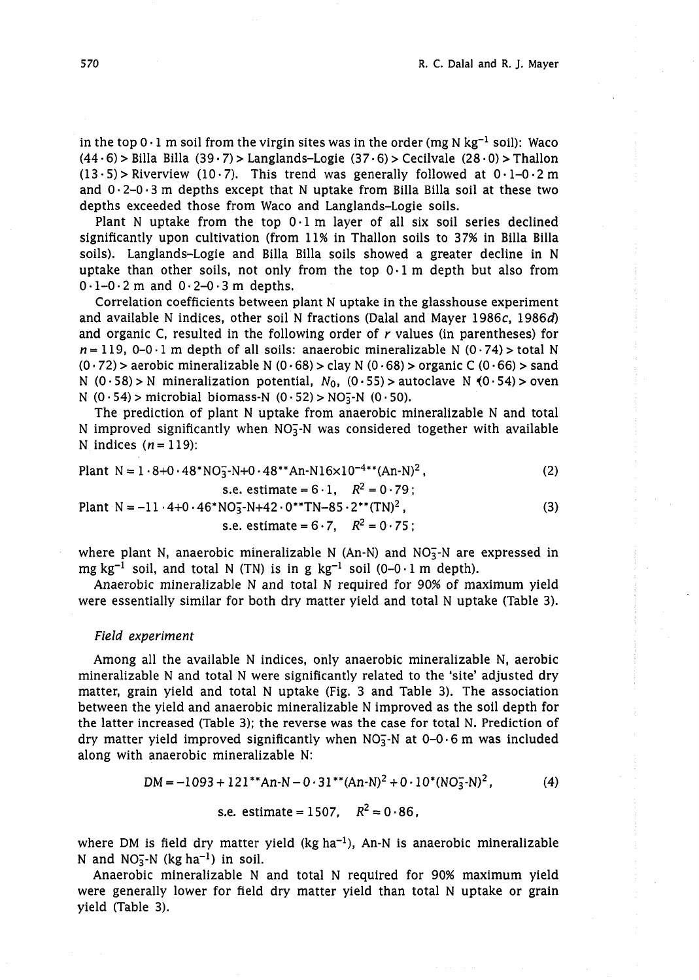in the top  $0.1$  m soil from the virgin sites was in the order (mg N kg<sup>-1</sup> soil): Waco  $(44.6)$  > Billa Billa  $(39.7)$  > Langlands-Logie  $(37.6)$  > Cecilvale  $(28.0)$  > Thallon  $(13.5)$  > Riverview  $(10.7)$ . This trend was generally followed at  $0.1-0.2$  m and  $0.2-0.3$  m depths except that N uptake from Billa Billa soil at these two depths exceeded those from Waco and Langlands-Logie soils.

Plant N uptake from the top  $0.1$  m layer of all six soil series declined significantly upon cultivation (from 11% in Thallon soils to 37% in Billa Billa soils). Langlands-Logie and Billa Billa soils showed a greater decline in N uptake than other soils, not only from the top  $0.1$  m depth but also from  $0.1-0.2$  m and  $0.2-0.3$  m depths.

Correlation coefficients between plant N uptake in the glasshouse experiment and available N indices, other soil N fractions (Dalal and Mayer 1986c, 19864 and organic C, resulted in the following order of  $r$  values (in parentheses) for  $n = 119$ , 0-0.1 m depth of all soils: anaerobic mineralizable N (0.74) > total N  $(0.72)$  > aerobic mineralizable N  $(0.68)$  > clay N  $(0.68)$  > organic C  $(0.66)$  > sand N  $(0.58)$  > N mineralization potential,  $N_0$ ,  $(0.55)$  > autoclave N  $(0.54)$  > oven N  $(0.54)$  > microbial biomass-N  $(0.52)$  > NO<sub>3</sub>-N  $(0.50)$ .

The prediction of plant N uptake from anaerobic mineralizable N and total N improved significantly when  $NO<sub>3</sub><sup>-</sup>N$  was considered together with available N indices  $(n = 119)$ :

Plant N = 1 -8+0 .48\*NOi-N+O **.48\*\*~n-~16~10-~\*\*(~n-~)~,** 

s.e. estimate = 
$$
6 \cdot 1
$$
,  $R^2 = 0 \cdot 79$ ;

Plant N = -11 · 4+0 · 46\*NO<sub>3</sub>-N+42 · 0\*\*TN-85 · 2\*\*(TN)<sup>2</sup>,  
s.e. estimate = 6 · 7, 
$$
R^2 = 0.75
$$
; (3)

where plant N, anaerobic mineralizable N (An-N) and NO<sub>3</sub>-N are expressed in mg kg<sup>-1</sup> soil, and total N (TN) is in g kg<sup>-1</sup> soil (0-0·1 m depth).

Anaerobic mineralizable N and total N required for 90% of maximum yield were essentially similar for both dry matter yield and total N uptake (Table 3).

## Field experiment

Among all the available N indices, only anaerobic mineralizable N, aerobic mineralizable N and total N were significantly related to the 'site' adjusted dry matter, grain yield and total N uptake (Fig. 3 and Table 3). The association between the yield and anaerobic mineralizable N improved as the soil depth for the latter increased (Table 3); the reverse was the case for total N. Prediction of dry matter yield improved significantly when NO<sub>3</sub>-N at  $0-0.6$  m was included along with anaerobic mineralizable N:

$$
DM = -1093 + 121^{*}An-N - 0.31^{*}(An-N)^{2} + 0.10^{*}(NO_{3}^{-}N)^{2}, \qquad (4)
$$

s.e. estimate = 1507, 
$$
R^2 = 0.86
$$
,

where DM is field dry matter yield  $(kg ha^{-1})$ , An-N is anaerobic mineralizable N and  $NO<sub>3</sub><sup>-</sup>N$  (kg ha<sup>-1</sup>) in soil.

Anaerobic mineralizable N and total N required for 90% maximum yield were generally lower for field dry matter yield than total N uptake or grain yield (Table 3).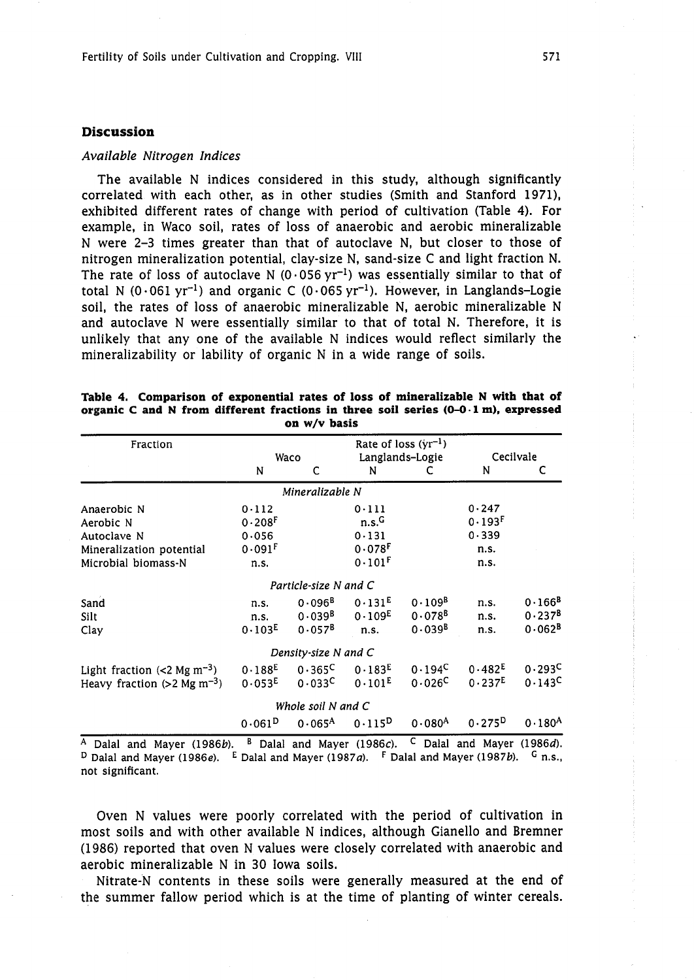## **Discussion**

#### *Available Nitrogen Indices*

The available N indices considered in this study, although significantly correlated with each other, as in other studies (Smith and Stanford 1971), exhibited different rates of change with period of cultivation (Table 4). For example, in Waco soil, rates of loss of anaerobic and aerobic mineralizable N were **2-3** times greater than that of autoclave N, but closer to those of nitrogen mineralization potential, clay-size N, sand-size C and light fraction N. The rate of loss of autoclave N (0.056 yr<sup>-1</sup>) was essentially similar to that of total N (0.061 yr<sup>-1</sup>) and organic C (0.065 yr<sup>-1</sup>). However, in Langlands-Logie soil, the rates of loss of anaerobic mineralizable N, aerobic mineralizable N and autoclave N were essentially similar to that of total N. Therefore, it is unlikely that any one of the available N indices would reflect similarly the mineralizability or lability of organic N in a wide range of soils.

| Fraction                                   |                      |                                |                      | Rate of loss $(yr^{-1})$ |                    |             |  |
|--------------------------------------------|----------------------|--------------------------------|----------------------|--------------------------|--------------------|-------------|--|
|                                            |                      | Waco                           |                      | Langlands-Logie          | Cecilvale          |             |  |
|                                            | N                    | C                              | N                    |                          | N                  | c           |  |
|                                            |                      | Mineralizable N                |                      |                          |                    |             |  |
| Anaerobic N                                | 0.112                |                                | 0.111                |                          | 0.247              |             |  |
| Aerobic N                                  | $0.208$ <sup>F</sup> |                                | n.s. <sup>G</sup>    |                          | 0.193F             |             |  |
| Autoclave N                                | 0.056                |                                | 0.131                |                          | 0.339              |             |  |
| Mineralization potential                   | $0.091$ <sup>F</sup> |                                | $0.078$ <sup>F</sup> |                          | n.s.               |             |  |
| Microbial biomass-N                        | n.s.                 |                                | $0.101$ <sup>F</sup> |                          | n.s.               |             |  |
|                                            |                      | Particle-size N and C          |                      |                          |                    |             |  |
| Sand                                       | n.s.                 | $0.096^{B}$                    | 0.131E               | $0.109^{B}$              | n.s.               | $0.166^{B}$ |  |
| Silt                                       | n.s.                 | 0.039 <sup>B</sup>             | 0.109 <sup>E</sup>   | $0.078^{B}$              | n.s.               | $0.237^{B}$ |  |
| Clay                                       | 0.103 <sup>E</sup>   | $0.057^{B}$                    | n.s.                 | $0.039^{B}$              | n.s.               | $0.062^{B}$ |  |
|                                            |                      | Density-size N and C           |                      |                          |                    |             |  |
| Light fraction $(< 2$ Mg m <sup>-3</sup> ) | $0.188^{E}$          | $0.365^{\circ}$                | 0.183 <sup>E</sup>   | $0.194^C$                | 0.482 <sup>E</sup> | 0.293C      |  |
| Heavy fraction $(>2$ Mg m <sup>-3</sup> )  |                      | $0.053^{E}$ 0.033 <sup>C</sup> | $0.101^{E}$          | $0.026^{\mathsf{C}}$     | 0.237E             | 0.143C      |  |
|                                            |                      | Whole soil N and C             |                      |                          |                    |             |  |
|                                            | $0.061^{D}$          | $0.065^{A}$                    | $0.115^{D}$          | $0.080^{A}$              | $0.275^{D}$        | $0.180^{A}$ |  |
|                                            |                      |                                |                      | $\sim$                   |                    |             |  |

**Table 4. Comparison of exponential rates of loss of mineralizable N with that of organic C and N from different fractions in three soil series (0-0- 1 m), expressed on w/v basis** 

A Dalal and Mayer *(1986b)*. <sup>B</sup> Dalal and Mayer *(1986c)*. <sup>C</sup> Dalal and Mayer *(1986d)*. <sup>D</sup> Dalal and Mayer *(1986e).* <sup>E</sup> Dalal and Mayer *(1987a).* <sup>F</sup> Dalal and Mayer *(1987b).* <sup>G</sup> n.s., not significant.

Oven N values were poorly correlated with the period of cultivation in most soils and with other available N indices, although Gianello and Bremner (1986) reported that oven N values were closely correlated with anaerobic and aerobic mineralizable N in 30 Iowa soils.

Nitrate-N contents in these soils were generally measured at the end of the summer fallow period which is at the time of planting of winter cereals.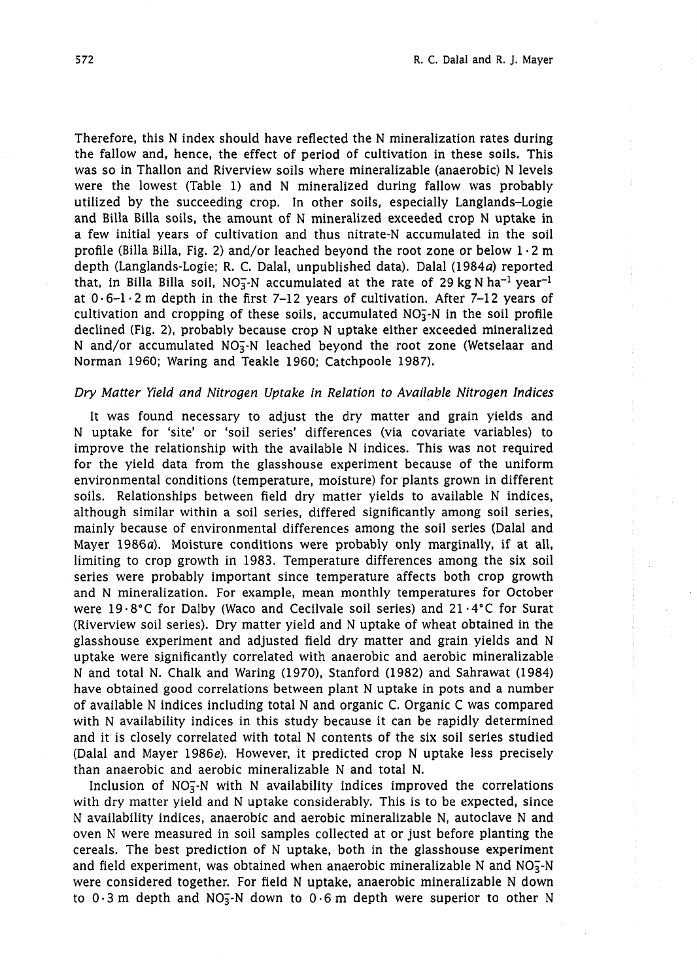Therefore, this N index should have reflected the N mineralization rates during the fallow and, hence, the effect of period of cultivation in these soils. This was so in Thallon and Riverview soils where mineralizable (anaerobic) N levels were the lowest (Table 1) and N mineralized during fallow was probably utilized by the succeeding crop. In other soils, especially Langlands-Logie and Billa Billa soils, the amount of N mineralized exceeded crop N uptake in a few initial years of cultivation and thus nitrate-N accumulated in the soil profile (Billa Billa, Fig. 2) and/or leached beyond the root zone or below  $1 \cdot 2$  m depth (Langlands-Logie; R. C. Dalal, unpublished data). Dalal (1984a) reported that, in Billa Billa soil,  $NO<sub>3</sub>-N$  accumulated at the rate of 29 kg N ha<sup>-1</sup> year<sup>-1</sup> at  $0.6-1.2$  m depth in the first 7-12 years of cultivation. After 7-12 years of cultivation and cropping of these soils, accumulated  $NO<sub>3</sub>$ -N in the soil profile declined (Fig. 2), probably because crop N uptake either exceeded mineralized N and/or accumulated  $NO<sub>3</sub>$ -N leached beyond the root zone (Wetselaar and Norman 1960; Waring and Teakle 1960; Catchpoole 1987).

# Dry Matter Yield and Nitrogen Uptake in Relation to Available Nitrogen Indices

It was found necessary to adjust the dry matter and grain yields and N uptake for 'site' or 'soil series' differences (via covariate variables) to improve the relationship with the available N indices. This was not required for the yield data from the glasshouse experiment because of the uniform environmental conditions (temperature, moisture) for plants grown in different soils. Relationships between field dry matter yields to available N indices, although similar within a soil series, differed significantly among soil series, mainly because of environmental differences among the soil series (Dalal and Mayer 1986a). Moisture conditions were probably only marginally, if at all, limiting to crop growth in 1983. Temperature differences among the six soil series were probably important since temperature affects both crop growth and N mineralization. For example, mean monthly temperatures for October were 19.8°C for Dalby (Waco and Cecilvale soil series) and  $21.4$ °C for Surat (Riverview soil series). Dry matter yield and N uptake of wheat obtained in the glasshouse experiment and adjusted field dry matter and grain yields and N uptake were significantly correlated with anaerobic and aerobic mineralizable N and total N. Chalk and Waring (1970), Stanford (1982) and Sahrawat (1984) have obtained good correlations between plant N uptake in pots and a number of available N indices including total N and organic C. Organic C was compared with N availability indices in this study because it can be rapidly determined and it is closely correlated with total N contents of the six soil series studied (Dalal and Mayer 1986e). However, it predicted crop N uptake less precisely than anaerobic and aerobic mineralizable N and total N.

Inclusion of  $NO_3^-N$  with N availability indices improved the correlations with dry matter yield and N uptake considerably. This is to be expected, since N availability indices, anaerobic and aerobic mineralizable N, autoclave N and oven N were measured in soil samples collected at or just before planting the cereals. The best prediction of N uptake, both in the glasshouse experiment and field experiment, was obtained when anaerobic mineralizable N and  $NO<sub>3</sub>$ -N were considered together. For field N uptake, anaerobic mineralizable N down to  $0.3$  m depth and NO<sub>3</sub>-N down to  $0.6$  m depth were superior to other N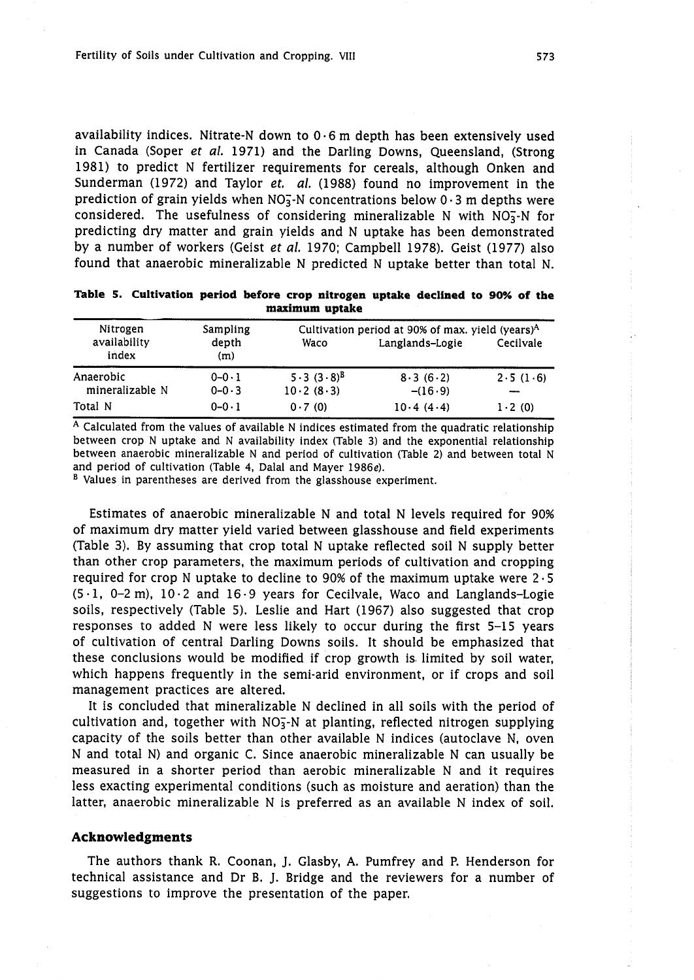availability indices. Nitrate-N down to  $0.6$  m depth has been extensively used in Canada (Soper et al. 1971) and the Darling Downs, Queensland, (Strong 1981) to predict N fertilizer requirements for cereals, although Onken and Sunderman (1972) and Taylor et. al. (1988) found no improvement in the prediction of grain yields when  $NO<sub>3</sub><sup>-</sup>N$  concentrations below 0.3 m depths were considered. The usefulness of considering mineralizable N with  $NO<sub>3</sub><sup>-</sup>N$  for predicting dry matter and grain yields and N uptake has been demonstrated by a number of workers (Geist *et al.* 1970; Campbell 1978). Geist (1977) also found that anaerobic mineralizable N predicted N uptake better than total N.

| maximum uptake                    |                          |                             |                                                                                 |            |  |  |  |  |
|-----------------------------------|--------------------------|-----------------------------|---------------------------------------------------------------------------------|------------|--|--|--|--|
| Nitrogen<br>availability<br>index | Sampling<br>depth<br>(m) | Waco                        | Cultivation period at 90% of max. yield (years) <sup>A</sup><br>Langlands-Logie | Cecilvale  |  |  |  |  |
| Anaerobic<br>mineralizable N      | $0 - 0.1$<br>$0 - 0.3$   | $5.3(3.8)^{B}$<br>10.2(8.3) | 8.3(6.2)<br>$-(16.9)$                                                           | 2.5(1.6)   |  |  |  |  |
| Total N                           | $0 - 0 - 1$              | 0.7(0)                      | 10.4(4.4)                                                                       | $1 - 2(0)$ |  |  |  |  |

**Table 5. Cultivation period before crop nitrogen uptake declined to 90% of the** 

A Calculated from the values of available N indices estimated from the quadratic relationship between crop N uptake and N availability index (Table 3) and the exponential relationship between anaerobic mineralizable N and period of cultivation (Table 2) and between total N and period of cultivation (Table 4, Dalal and Mayer 1986e).

<sup>B</sup> Values in parentheses are derived from the glasshouse experiment.

Estimates of anaerobic mineralizable N and total N levels required for 90% of maximum dry matter yield varied between glasshouse and field experiments (Table **3).** By assuming that crop total N uptake reflected soil N supply better than other crop parameters, the maximum periods of cultivation and cropping required for crop N uptake to decline to 90% of the maximum uptake were  $2.5$  $(5.1, 0-2 \text{ m})$ ,  $10.2$  and  $16.9$  years for Cecilvale, Waco and Langlands-Logie soils, respectively (Table 5). Leslie and Hart (1967) also suggested that crop responses to added N were less likely to occur during the first 5-15 years of cultivation of central Darling Downs soils. It should be emphasized that these conclusions would be modified if crop growth is limited by soil water, which happens frequently in the semi-arid environment, or if crops and soil management practices are altered.

It is concluded that mineralizable N declined in all soils with the period of cultivation and, together with  $NO<sub>5</sub>$ -N at planting, reflected nitrogen supplying capacity of the soils better than other available N indices (autoclave N, oven N and total N) and organic C. Since anaerobic mineralizable N can usually be measured in a shorter period than aerobic mineralizable N and it requires less exacting experimental conditions (such as moisture and aeration) than the latter, anaerobic mineralizable N is preferred as an available N index of soil.

# **Acknowledgments**

The authors thank R. Coonan, J. Glasby, **A.** Pumfrey and P. Henderson for technical assistance and Dr B. J. Bridge and the reviewers for a number of suggestions to improve the presentation of the paper.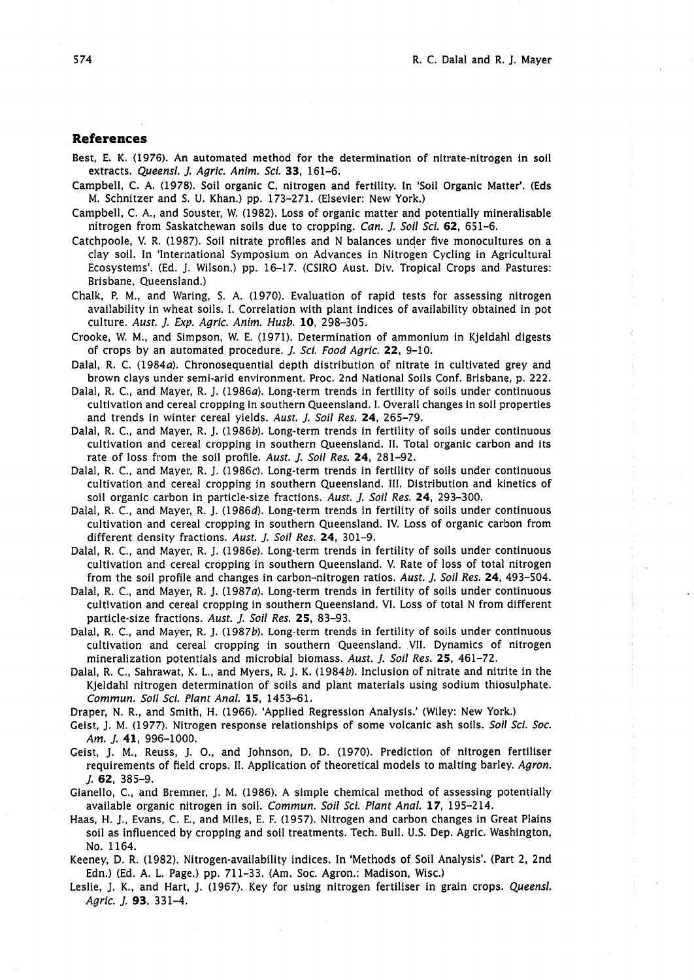## **References**

- Best, E. K. (1976). An automated method for the determination of nitrate-nitrogen in soil extracts. *Queensl.* J. *Agric. Anim. Sci. 33,* 161-6.
- Campbell, C. A. (1978). Soil organic C, nitrogen and fertility. In 'Soil Organic Matter'. (Eds M. Schnitzer and S. U. Khan.) pp. 173-271. (Elsevier: New York.)
- Campbell, C. A., and Souster, W. (1982). Loss of organic matter and potentially mineralisable nitrogen from Saskatchewan soils due to cropping. *Can.* J. *Soil Sci.* **62,** 651-6.
- Catchpoole, V. R. (1987). Soil nitrate profiles and N balances under five monocultures on a clay soil. In 'International Symposium on Advances in Nitrogen Cycling in Agricultural Ecosystems'. (Ed. J. Wilson.) pp. 16-17. (CSIRO Aust. Div. Tropical Crops and Pastures: Brisbane, Queensland.)
- Chalk, P. M., and Waring, S. A. (1970). Evaluation of rapid tests for assessing nitrogen availability in wheat soils. I. Correlation with plant indices of availability obtained in pot culture. *Aust.* J. **Exp.** *Agric. Anim. Husb.* **10,** 298-305.
- Crooke, W. M., and Simpson, W. E. (1971). Determination of ammonium in Kjeldahl digests of crops by an automated procedure. J. *Sci. Food Agric.* **22,** 9-10.
- Dalal, R. C. (1984*a*). Chronosequential depth distribution of nitrate in cultivated grey and brown clays under semi-arid environment. Proc. 2nd National Soils Conf. Brisbane, p. 222.
- Dalal, R. C., and Mayer, R. J. (1986*a*). Long-term trends in fertility of soils under continuous cultivation and cereal cropping in southern Queensland. I. Overall changes in soil properties and trends in winter cereal yields. *Aust.* J. *Soil Res.* **24,** 265-79.
- Dalal, R. C., and Mayer, R. J. (1986b). Long-term trends in fertility of soils under continuous cultivation and cereal cropping in southern Queensland. Ii. Total organic carbon and its rate of loss from the soil profile. *Aust.* J. *Soil Res.* **24,** 281-92.
- Dalal, R. C., and Mayer, R. J. (1986c). Long-term trends in fertility of soils under continuous cultivation and cereal cropping in southern Queensland. 111. Distribution and kinetics of soil organic carbon in particle-size fractions. *Aust.* J. *Soil Res.* **24,** 293-300.
- Dalal, R. C., and Mayer, R. J. (1986d). Long-term trends in fertility of soils under continuous cultivation and cereal cropping in southern Queensland. IV. Loss of organic carbon from different density fractions. *Aust.* J. *Soil Res.* **24,** 301-9.
- Dalal, R. C., and Mayer, R. J. (1986e). Long-term trends in fertility of soils under continuous cultivation and cereal cropping in southern Queensland. V. Rate of loss of total nitrogen from the soil profile and changes in carbon-nitrogen ratios. *Aust.* J. *Soil Res.* **24,** 493-504.
- Dalal, R. C., and Mayer, R. J. (1987a). Long-term trends in fertility of soils under continuous cultivation and cereal cropping in southern Queensland. VI. Loss of total N from different particle-size fractions. *Aust.* J. *Soil Res.* **25,** 83-93.
- Dalal, R. C., and Mayer, R. J. (19876). Long-term trends in fertility of soils under continuous cultivation and cereal cropping in southern Queensland. VII. Dynamics of nitrogen mineralization potentials and microbial biomass. *Aust.* J. *Soil Res.* **25,** 461-72.
- Dalal, R. C., Sahrawat, K. L., and Myers, R. J. K. (1984b). Inclusion of nitrate and nitrite in the Kjeldahl nitrogen determination of soils and plant materials using sodium thiosulphate. *Commun. Soil Sci. Plant Anal.* **15,** 1453-61.
- Draper, N. R., and Smith, H. (1966). 'Applied Regression Analysis.' (Wiley: New York.)
- Geist, J. M. (1977). Nitrogen response relationships of some volcanic ash soils. *Soil Sci. Soc. Am. J.* **41,** 996-1000.
- Geist, J. M., Reuss, J. O., and Johnson, D. D. (1970). Prediction of nitrogen fertiliser requirements of field crops. 11. Application of theoretical models to malting barley. *Agron. J.* **62,** 385-9.
- Gianello, C., and Bremner, J. M. (1986). A simple chemical method of assessing potentially available organic nitrogen in soil. *Commun. Soil Sci. Plant Anal. 17,* 195-214.
- Haas, H. J., Evans, C. E., and Miles, E. F. (1957). Nitrogen and carbon changes in Great Plains soil as influenced by cropping and soil treatments. Tech. Bull. U.S. Dep. Agric. Washington, No. 1164.
- Keeney, D. R. (1982). Nitrogen-availability indices. In 'Methods of Soil Analysis'. (Part 2, 2nd Edn.) (Ed. A. L. Page.) pp. 71 1-33. (Am. Soc. Agron.: Madison, Wisc.)
- Leslie, J. K., and Hart, J. (1967). Key for using nitrogen fertiliser in grain crops. *Queensl. Agric.* J. *93.* 331-4.